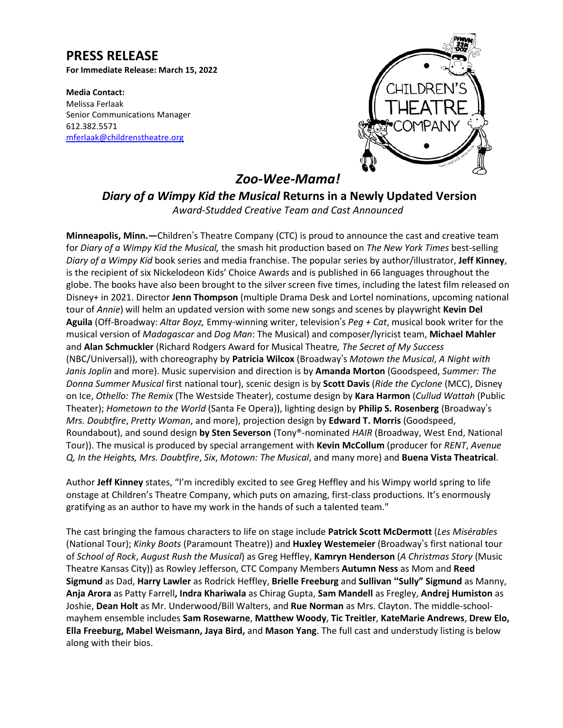# **PRESS RELEASE**

**For Immediate Release: March 15, 2022**

**Media Contact:** Melissa Ferlaak Senior Communications Manager 612.382.5571 [mferlaak@childrenstheatre.org](mailto:mferlaak@childrenstheatre.org)



*Zoo-Wee-Mama!*

*Diary of a Wimpy Kid the Musical* **Returns in a Newly Updated Version** *Award-Studded Creative Team and Cast Announced*

**Minneapolis, Minn.—**Children's Theatre Company (CTC) is proud to announce the cast and creative team for *Diary of a Wimpy Kid the Musical,* the smash hit production based on *The New York Times* best-selling *Diary of a Wimpy Kid* book series and media franchise. The popular series by author/illustrator, **Jeff Kinney**, is the recipient of six Nickelodeon Kids' Choice Awards and is published in 66 languages throughout the globe. The books have also been brought to the silver screen five times, including the latest film released on Disney+ in 2021. Director **Jenn Thompson** (multiple Drama Desk and Lortel nominations, upcoming national tour of *Annie*) will helm an updated version with some new songs and scenes by playwright **Kevin Del Aguila** (Off-Broadway: *Altar Boyz,* Emmy-winning writer, television's *Peg + Cat*, musical book writer for the musical version of *Madagascar* and *Dog Man*: The Musical) and composer/lyricist team, **Michael Mahler** and **Alan Schmuckler** (Richard Rodgers Award for Musical Theatre*, The Secret of My Success* (NBC/Universal)), with choreography by **Patricia Wilcox** (Broadway's *Motown the Musical*, *A Night with Janis Joplin* and more). Music supervision and direction is by **Amanda Morton** (Goodspeed, *Summer: The Donna Summer Musical* first national tour), scenic design is by **Scott Davis** (*Ride the Cyclone* (MCC), Disney on Ice, *Othello: The Remix* (The Westside Theater), costume design by **Kara Harmon** (*Cullud Wattah* (Public Theater); *Hometown to the World* (Santa Fe Opera)), lighting design by **Philip S. Rosenberg** (Broadway's *Mrs. Doubtfire*, *Pretty Woman*, and more), projection design by **Edward T. Morris** (Goodspeed, Roundabout), and sound design **by Sten Severson** (Tony®-nominated *HAIR* (Broadway, West End, National Tour)). The musical is produced by special arrangement with **Kevin McCollum** (producer for *RENT*, *Avenue Q, In the Heights, Mrs. Doubtfire*, *Six*, *Motown: The Musical*, and many more) and **Buena Vista Theatrical**.

Author **Jeff Kinney** states, "I'm incredibly excited to see Greg Heffley and his Wimpy world spring to life onstage at Children's Theatre Company, which puts on amazing, first-class productions. It's enormously gratifying as an author to have my work in the hands of such a talented team."

The cast bringing the famous characters to life on stage include **Patrick Scott McDermott** (*Les Misérables* (National Tour); *Kinky Boots* (Paramount Theatre)) and **Huxley Westemeier** (Broadway's first national tour of *School of Rock*, *August Rush the Musical*) as Greg Heffley, **Kamryn Henderson** (*A Christmas Story* (Music Theatre Kansas City)) as Rowley Jefferson, CTC Company Members **Autumn Ness** as Mom and **Reed Sigmund** as Dad, **Harry Lawler** as Rodrick Heffley, **Brielle Freeburg** and **Sullivan "Sully" Sigmund** as Manny, **Anja Arora** as Patty Farrell**, Indra Khariwala** as Chirag Gupta, **Sam Mandell** as Fregley, **Andrej Humiston** as Joshie, **Dean Holt** as Mr. Underwood/Bill Walters, and **Rue Norman** as Mrs. Clayton. The middle-schoolmayhem ensemble includes **Sam Rosewarne**, **Matthew Woody**, **Tic Treitler**, **KateMarie Andrews**, **Drew Elo, Ella Freeburg, Mabel Weismann, Jaya Bird,** and **Mason Yang**. The full cast and understudy listing is below along with their bios.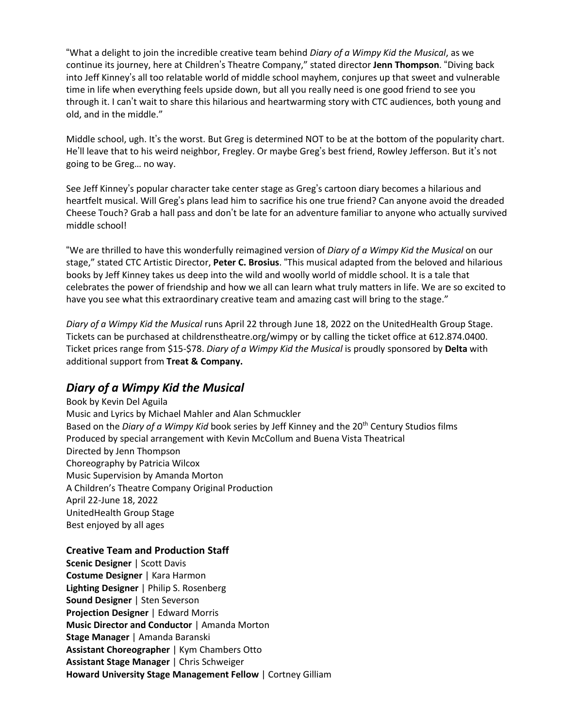**Media Contact:** "What a delight to join the incredible creative team behind *Diary of a Wimpy Kid the Musical*, as we continue its journey, here at Children's Theatre Company," stated director **Jenn Thompson**. "Diving back into Jeff Kinney's all too relatable world of middle school mayhem, conjures up that sweet and vulnerable time in life when everything feels upside down, but all you really need is one good friend to see you through it. I can't wait to share this hilarious and heartwarming story with CTC audiences, both young and old, and in the middle."

Middle school, ugh. It's the worst. But Greg is determined NOT to be at the bottom of the popularity chart. He'll leave that to his weird neighbor, Fregley. Or maybe Greg's best friend, Rowley Jefferson. But it's not going to be Greg… no way.

See Jeff Kinney's popular character take center stage as Greg's cartoon diary becomes a hilarious and heartfelt musical. Will Greg's plans lead him to sacrifice his one true friend? Can anyone avoid the dreaded Cheese Touch? Grab a hall pass and don't be late for an adventure familiar to anyone who actually survived middle school!

"We are thrilled to have this wonderfully reimagined version of *Diary of a Wimpy Kid the Musical* on our stage," stated CTC Artistic Director, **Peter C. Brosius**. "This musical adapted from the beloved and hilarious books by Jeff Kinney takes us deep into the wild and woolly world of middle school. It is a tale that celebrates the power of friendship and how we all can learn what truly matters in life. We are so excited to have you see what this extraordinary creative team and amazing cast will bring to the stage."

*Diary of a Wimpy Kid the Musical* runs April 22 through June 18, 2022 on the UnitedHealth Group Stage. Tickets can be purchased at childrenstheatre.org/wimpy or by calling the ticket office at 612.874.0400. Ticket prices range from \$15-\$78. *Diary of a Wimpy Kid the Musical* is proudly sponsored by **Delta** with additional support from **Treat & Company.**

# *Diary of a Wimpy Kid the Musical*

Book by Kevin Del Aguila Music and Lyrics by Michael Mahler and Alan Schmuckler Based on the *Diary of a Wimpy Kid* book series by Jeff Kinney and the 20th Century Studios films Produced by special arrangement with Kevin McCollum and Buena Vista Theatrical Directed by Jenn Thompson Choreography by Patricia Wilcox Music Supervision by Amanda Morton A Children's Theatre Company Original Production April 22-June 18, 2022 UnitedHealth Group Stage Best enjoyed by all ages

### **Creative Team and Production Staff**

**Scenic Designer** | Scott Davis **Costume Designer** | Kara Harmon **Lighting Designer** | Philip S. Rosenberg **Sound Designer** | Sten Severson **Projection Designer** | Edward Morris **Music Director and Conductor** | Amanda Morton **Stage Manager** | Amanda Baranski **Assistant Choreographer** | Kym Chambers Otto **Assistant Stage Manager** | Chris Schweiger **Howard University Stage Management Fellow** | Cortney Gilliam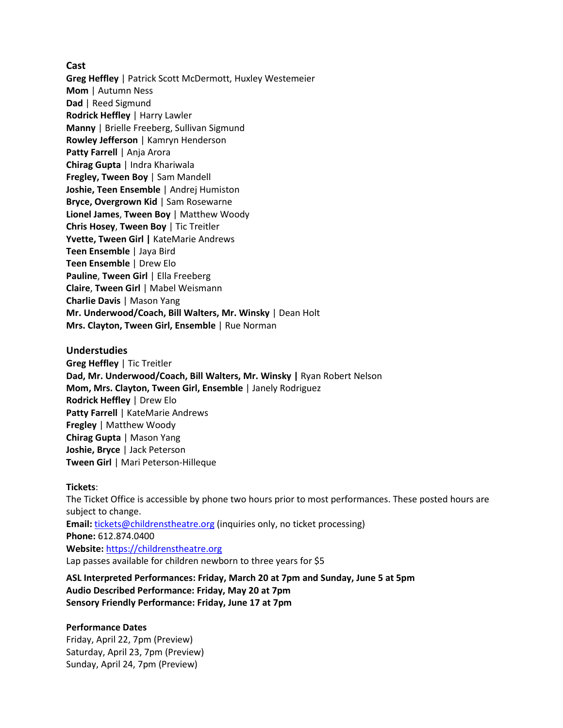**Cast**

**Greg Heffley** | Patrick Scott McDermott, Huxley Westemeier **Mom** | Autumn Ness **Dad** | Reed Sigmund **Rodrick Heffley** | Harry Lawler **Manny** | Brielle Freeberg, Sullivan Sigmund **Rowley Jefferson** | Kamryn Henderson **Patty Farrell** | Anja Arora **Chirag Gupta** | Indra Khariwala **Fregley, Tween Boy** | Sam Mandell **Joshie, Teen Ensemble** | Andrej Humiston **Bryce, Overgrown Kid** | Sam Rosewarne **Lionel James**, **Tween Boy** | Matthew Woody **Chris Hosey**, **Tween Boy** | Tic Treitler **Yvette, Tween Girl |** KateMarie Andrews **Teen Ensemble** | Jaya Bird **Teen Ensemble** | Drew Elo **Pauline**, **Tween Girl** | Ella Freeberg **Claire**, **Tween Girl** | Mabel Weismann **Charlie Davis** | Mason Yang **Mr. Underwood/Coach, Bill Walters, Mr. Winsky** | Dean Holt **Mrs. Clayton, Tween Girl, Ensemble** | Rue Norman

### **Understudies**

**Greg Heffley** | Tic Treitler **Dad, Mr. Underwood/Coach, Bill Walters, Mr. Winsky |** Ryan Robert Nelson **Mom, Mrs. Clayton, Tween Girl, Ensemble** | Janely Rodriguez **Rodrick Heffley** | Drew Elo **Patty Farrell** | KateMarie Andrews **Fregley** | Matthew Woody **Chirag Gupta** | Mason Yang **Joshie, Bryce** | Jack Peterson **Tween Girl** | Mari Peterson-Hilleque

#### **Tickets**:

The Ticket Office is accessible by phone two hours prior to most performances. These posted hours are subject to change. **Email:** [tickets@childrenstheatre.org](mailto:tickets@childrenstheatre.org) (inquiries only, no ticket processing) **Phone:** 612.874.0400 **Website:** [https://childrenstheatre.org](https://childrenstheatre.org/) Lap passes available for children newborn to three years for \$5

**ASL Interpreted Performances: Friday, March 20 at 7pm and Sunday, June 5 at 5pm Audio Described Performance: Friday, May 20 at 7pm Sensory Friendly Performance: Friday, June 17 at 7pm**

#### **Performance Dates**

Friday, April 22, 7pm (Preview) Saturday, April 23, 7pm (Preview) Sunday, April 24, 7pm (Preview)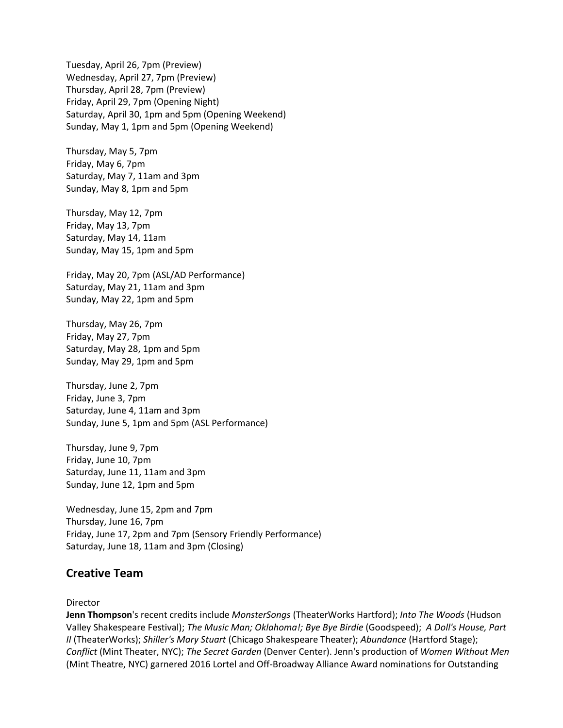Tuesday, April 26, 7pm (Preview) Wednesday, April 27, 7pm (Preview) Thursday, April 28, 7pm (Preview) Friday, April 29, 7pm (Opening Night) Saturday, April 30, 1pm and 5pm (Opening Weekend) Sunday, May 1, 1pm and 5pm (Opening Weekend)

Thursday, May 5, 7pm Friday, May 6, 7pm Saturday, May 7, 11am and 3pm Sunday, May 8, 1pm and 5pm

Thursday, May 12, 7pm Friday, May 13, 7pm Saturday, May 14, 11am Sunday, May 15, 1pm and 5pm

Friday, May 20, 7pm (ASL/AD Performance) Saturday, May 21, 11am and 3pm Sunday, May 22, 1pm and 5pm

Thursday, May 26, 7pm Friday, May 27, 7pm Saturday, May 28, 1pm and 5pm Sunday, May 29, 1pm and 5pm

Thursday, June 2, 7pm Friday, June 3, 7pm Saturday, June 4, 11am and 3pm Sunday, June 5, 1pm and 5pm (ASL Performance)

Thursday, June 9, 7pm Friday, June 10, 7pm Saturday, June 11, 11am and 3pm Sunday, June 12, 1pm and 5pm

Wednesday, June 15, 2pm and 7pm Thursday, June 16, 7pm Friday, June 17, 2pm and 7pm (Sensory Friendly Performance) Saturday, June 18, 11am and 3pm (Closing)

### **Creative Team**

#### Director

**Jenn Thompson**'s recent credits include *MonsterSongs* (TheaterWorks Hartford); *Into The Woods* (Hudson Valley Shakespeare Festival); *The Music Man; Oklahoma!; Bye Bye Birdie* (Goodspeed); *A Doll's House, Part II* (TheaterWorks); *Shiller's Mary Stuart* (Chicago Shakespeare Theater); *Abundance* (Hartford Stage); *Conflict* (Mint Theater, NYC); *The Secret Garden* (Denver Center). Jenn's production of *Women Without Men* (Mint Theatre, NYC) garnered 2016 Lortel and Off-Broadway Alliance Award nominations for Outstanding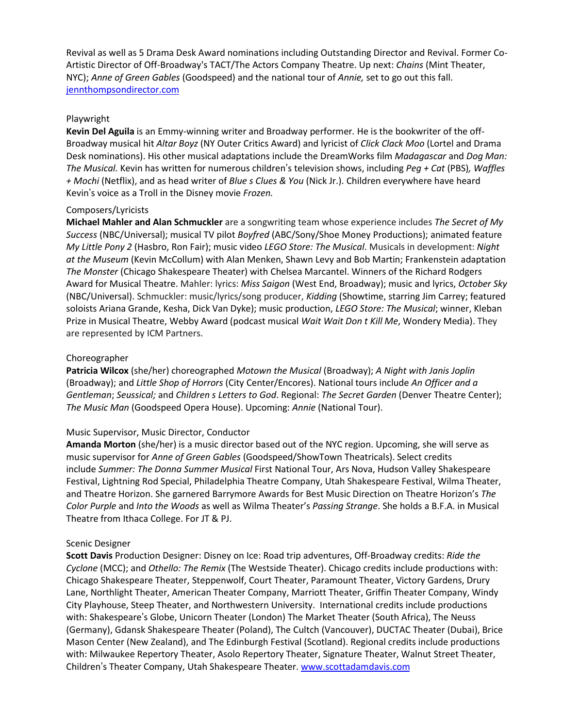Revival as well as 5 Drama Desk Award nominations including Outstanding Director and Revival. Former Co-Artistic Director of Off-Broadway's TACT/The Actors Company Theatre. Up next: *Chains* (Mint Theater, NYC); *Anne of Green Gables* (Goodspeed) and the national tour of *Annie,* set to go out this fall. [jennthompsondirector.com](https://jennthompsondirector.com/)

#### Playwright

**Kevin Del Aguila** is an Emmy-winning writer and Broadway performer*.* He is the bookwriter of the off-Broadway musical hit *Altar Boyz* (NY Outer Critics Award) and lyricist of *Click Clack Moo* (Lortel and Drama Desk nominations). His other musical adaptations include the DreamWorks film *Madagascar* and *Dog Man: The Musical.* Kevin has written for numerous children's television shows, including *Peg + Cat* (PBS)*, Waffles + Mochi* (Netflix), and as head writer of *Blue s Clues & You* (Nick Jr.). Children everywhere have heard Kevin's voice as a Troll in the Disney movie *Frozen.*

#### Composers/Lyricists

**Michael Mahler and Alan Schmuckler** are a songwriting team whose experience includes *The Secret of My Success* (NBC/Universal); musical TV pilot *Boyfred* (ABC/Sony/Shoe Money Productions); animated feature *My Little Pony 2* (Hasbro, Ron Fair); music video *LEGO Store: The Musical*. Musicals in development: *Night at the Museum* (Kevin McCollum) with Alan Menken, Shawn Levy and Bob Martin; Frankenstein adaptation *The Monster* (Chicago Shakespeare Theater) with Chelsea Marcantel. Winners of the Richard Rodgers Award for Musical Theatre. Mahler: lyrics: *Miss Saigon* (West End, Broadway); music and lyrics, *October Sky* (NBC/Universal). Schmuckler: music/lyrics/song producer, *Kidding* (Showtime, starring Jim Carrey; featured soloists Ariana Grande, Kesha, Dick Van Dyke); music production, *LEGO Store: The Musical*; winner, Kleban Prize in Musical Theatre, Webby Award (podcast musical *Wait Wait Don t Kill Me*, Wondery Media). They are represented by ICM Partners.

### Choreographer

**Patricia Wilcox** (she/her) choreographed *Motown the Musical* (Broadway); *A Night with Janis Joplin* (Broadway); and *Little Shop of Horrors* (City Center/Encores). National tours include *An Officer and a Gentleman*; *Seussical;* and *Children s Letters to God*. Regional: *The Secret Garden* (Denver Theatre Center); *The Music Man* (Goodspeed Opera House). Upcoming: *Annie* (National Tour).

### Music Supervisor, Music Director, Conductor

**Amanda Morton** (she/her) is a music director based out of the NYC region. Upcoming, she will serve as music supervisor for *Anne of Green Gables* (Goodspeed/ShowTown Theatricals). Select credits include *Summer: The Donna Summer Musical* First National Tour, Ars Nova, Hudson Valley Shakespeare Festival, Lightning Rod Special, Philadelphia Theatre Company, Utah Shakespeare Festival, Wilma Theater, and Theatre Horizon. She garnered Barrymore Awards for Best Music Direction on Theatre Horizon's *The Color Purple* and *Into the Woods* as well as Wilma Theater's *Passing Strange*. She holds a B.F.A. in Musical Theatre from Ithaca College. For JT & PJ.

### Scenic Designer

**Scott Davis** Production Designer: Disney on Ice: Road trip adventures, Off-Broadway credits: *Ride the Cyclone* (MCC); and *Othello: The Remix* (The Westside Theater). Chicago credits include productions with: Chicago Shakespeare Theater, Steppenwolf, Court Theater, Paramount Theater, Victory Gardens, Drury Lane, Northlight Theater, American Theater Company, Marriott Theater, Griffin Theater Company, Windy City Playhouse, Steep Theater, and Northwestern University. International credits include productions with: Shakespeare's Globe, Unicorn Theater (London) The Market Theater (South Africa), The Neuss (Germany), Gdansk Shakespeare Theater (Poland), The Cultch (Vancouver), DUCTAC Theater (Dubai), Brice Mason Center (New Zealand), and The Edinburgh Festival (Scotland). Regional credits include productions with: Milwaukee Repertory Theater, Asolo Repertory Theater, Signature Theater, Walnut Street Theater, Children's Theater Company, Utah Shakespeare Theater. [www.scottadamdavis.com](http://www.scottadamdavis.com/)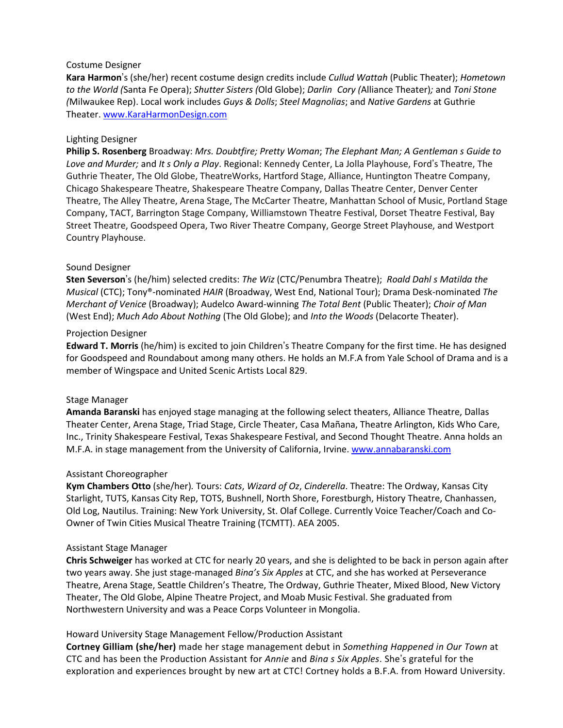### Costume Designer

Kara Harmon's (she/her) recent costume design credits include *Cullud Wattah* (Public Theater); *Hometown* 612.872.5110 *to the World (*Santa Fe Opera); *Shutter Sisters (*Old Globe); *Darlin Cory (*Alliance Theater)*;* and *Toni Stone (Milwaukee Rep). Local work includes Guys & Dolls; Steel Magnolias; and Native Gardens at Guthrie* Theater. [www.KaraHarmonDesign.com](http://www.karaharmondesign.com/)

#### Lighting Designer

**Philip S. Rosenberg** Broadway: *Mrs. Doubtfire; Pretty Woman*; *The Elephant Man; A Gentleman s Guide to Love and Murder;* and *It s Only a Play*. Regional: Kennedy Center, La Jolla Playhouse, Ford's Theatre, The Guthrie Theater, The Old Globe, TheatreWorks, Hartford Stage, Alliance, Huntington Theatre Company, Chicago Shakespeare Theatre, Shakespeare Theatre Company, Dallas Theatre Center, Denver Center Theatre, The Alley Theatre, Arena Stage, The McCarter Theatre, Manhattan School of Music, Portland Stage Company, TACT, Barrington Stage Company, Williamstown Theatre Festival, Dorset Theatre Festival, Bay Street Theatre, Goodspeed Opera, Two River Theatre Company, George Street Playhouse, and Westport Country Playhouse.

#### Sound Designer

**Sten Severson**'s (he/him) selected credits: *The Wiz* (CTC/Penumbra Theatre); *Roald Dahl s Matilda the Musical* (CTC); Tony®-nominated *HAIR* (Broadway, West End, National Tour); Drama Desk-nominated *The Merchant of Venice* (Broadway); Audelco Award-winning *The Total Bent* (Public Theater); *Choir of Man* (West End); *Much Ado About Nothing* (The Old Globe); and *Into the Woods* (Delacorte Theater).

#### Projection Designer

**Edward T. Morris** (he/him) is excited to join Children's Theatre Company for the first time. He has designed for Goodspeed and Roundabout among many others. He holds an M.F.A from Yale School of Drama and is a member of Wingspace and United Scenic Artists Local 829.

#### Stage Manager

**Amanda Baranski** has enjoyed stage managing at the following select theaters, Alliance Theatre, Dallas Theater Center, Arena Stage, Triad Stage, Circle Theater, Casa Mañana, Theatre Arlington, Kids Who Care, Inc., Trinity Shakespeare Festival, Texas Shakespeare Festival, and Second Thought Theatre. Anna holds an M.F.A. in stage management from the University of California, Irvine. [www.annabaranski.com](http://www.annabaranski.com/)

#### Assistant Choreographer

**Kym Chambers Otto** (she/her)*.* Tours: *Cats*, *Wizard of Oz*, *Cinderella*. Theatre: The Ordway, Kansas City Starlight, TUTS, Kansas City Rep, TOTS, Bushnell, North Shore, Forestburgh, History Theatre, Chanhassen, Old Log, Nautilus. Training: New York University, St. Olaf College. Currently Voice Teacher/Coach and Co-Owner of Twin Cities Musical Theatre Training (TCMTT). AEA 2005.

#### Assistant Stage Manager

**Chris Schweiger** has worked at CTC for nearly 20 years, and she is delighted to be back in person again after two years away. She just stage-managed *Bina's Six Apples* at CTC, and she has worked at Perseverance Theatre, Arena Stage, Seattle Children's Theatre, The Ordway, Guthrie Theater, Mixed Blood, New Victory Theater, The Old Globe, Alpine Theatre Project, and Moab Music Festival. She graduated from Northwestern University and was a Peace Corps Volunteer in Mongolia.

### Howard University Stage Management Fellow/Production Assistant

**Cortney Gilliam (she/her)** made her stage management debut in *Something Happened in Our Town* at CTC and has been the Production Assistant for *Annie* and *Bina s Six Apples*. She's grateful for the exploration and experiences brought by new art at CTC! Cortney holds a B.F.A. from Howard University.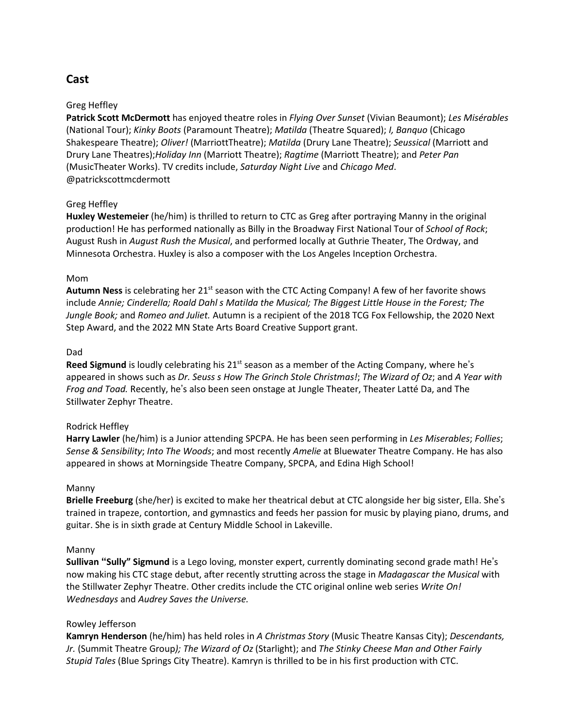# **Cast**

### Greg Heffley

**Patrick Scott McDermott** has enjoyed theatre roles in *Flying Over Sunset* (Vivian Beaumont); *Les Misérables* (National Tour); *Kinky Boots* (Paramount Theatre); *Matilda* (Theatre Squared); *I, Banquo* (Chicago Shakespeare Theatre); *Oliver!* (MarriottTheatre); *Matilda* (Drury Lane Theatre); *Seussical* (Marriott and Drury Lane Theatres);*Holiday Inn* (Marriott Theatre); *Ragtime* (Marriott Theatre); and *Peter Pan* (MusicTheater Works). TV credits include, *Saturday Night Live* and *Chicago Med*. @patrickscottmcdermott

### Greg Heffley

**Huxley Westemeier** (he/him) is thrilled to return to CTC as Greg after portraying Manny in the original production! He has performed nationally as Billy in the Broadway First National Tour of *School of Rock*; August Rush in *August Rush the Musical*, and performed locally at Guthrie Theater, The Ordway, and Minnesota Orchestra. Huxley is also a composer with the Los Angeles Inception Orchestra.

### Mom

**Autumn Ness** is celebrating her 21<sup>st</sup> season with the CTC Acting Company! A few of her favorite shows include *Annie; Cinderella; Roald Dahl s Matilda the Musical; The Biggest Little House in the Forest; The Jungle Book;* and *Romeo and Juliet.* Autumn is a recipient of the 2018 TCG Fox Fellowship, the 2020 Next Step Award, and the 2022 MN State Arts Board Creative Support grant.

### Dad

**Reed Sigmund** is loudly celebrating his 21<sup>st</sup> season as a member of the Acting Company, where he's appeared in shows such as *Dr. Seuss s How The Grinch Stole Christmas!*; *The Wizard of Oz*; and *A Year with Frog and Toad.* Recently, he's also been seen onstage at Jungle Theater, Theater Latté Da, and The Stillwater Zephyr Theatre.

### Rodrick Heffley

**Harry Lawler** (he/him) is a Junior attending SPCPA. He has been seen performing in *Les Miserables*; *Follies*; *Sense & Sensibility*; *Into The Woods*; and most recently *Amelie* at Bluewater Theatre Company. He has also appeared in shows at Morningside Theatre Company, SPCPA, and Edina High School!

### Manny

**Brielle Freeburg** (she/her) is excited to make her theatrical debut at CTC alongside her big sister, Ella. She's trained in trapeze, contortion, and gymnastics and feeds her passion for music by playing piano, drums, and guitar. She is in sixth grade at Century Middle School in Lakeville.

### Manny

**Sullivan "Sully" Sigmund** is a Lego loving, monster expert, currently dominating second grade math! He's now making his CTC stage debut, after recently strutting across the stage in *Madagascar the Musical* with the Stillwater Zephyr Theatre. Other credits include the CTC original online web series *Write On! Wednesdays* and *Audrey Saves the Universe.*

### Rowley Jefferson

**Kamryn Henderson** (he/him) has held roles in *A Christmas Story* (Music Theatre Kansas City); *Descendants, Jr.* (Summit Theatre Group*); The Wizard of Oz* (Starlight); and *The Stinky Cheese Man and Other Fairly Stupid Tales* (Blue Springs City Theatre). Kamryn is thrilled to be in his first production with CTC.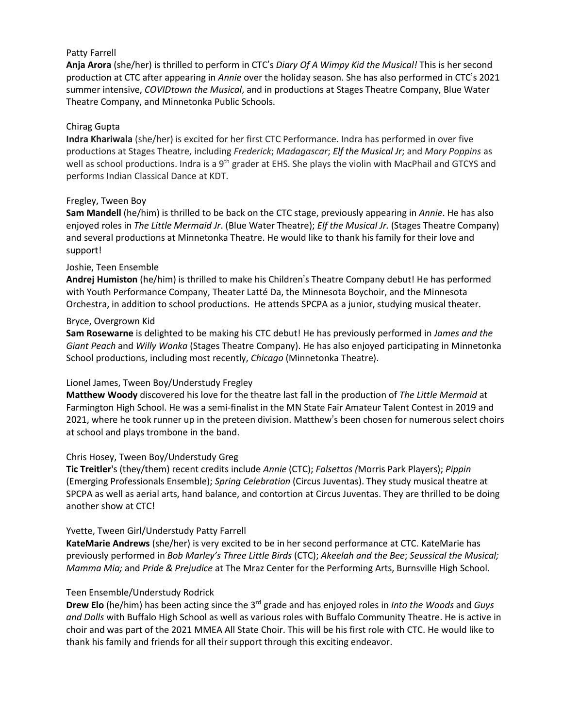### Patty Farrell

Melissa Ferlaak **Anja Arora** (she/her) is thrilled to perform in CTC's *Diary Of A Wimpy Kid the Musical!* This is her second production at CTC after appearing in *Annie* over the holiday season. She has also performed in CTC's 2021 summer intensive, *COVIDtown the Musical*, and in productions at Stages Theatre Company, Blue Water Theatre Company, and Minnetonka Public Schools.

### Chirag Gupta

**Indra Khariwala** (she/her) is excited for her first CTC Performance. Indra has performed in over five productions at Stages Theatre, including *Frederick*; *Madagascar*; *Elf the Musical Jr*; and *Mary Poppins* as well as school productions. Indra is a 9<sup>th</sup> grader at EHS. She plays the violin with MacPhail and GTCYS and performs Indian Classical Dance at KDT.

### Fregley, Tween Boy

**Sam Mandell** (he/him) is thrilled to be back on the CTC stage, previously appearing in *Annie*. He has also enjoyed roles in *The Little Mermaid Jr*. (Blue Water Theatre); *Elf the Musical Jr.* (Stages Theatre Company) and several productions at Minnetonka Theatre. He would like to thank his family for their love and support!

### Joshie, Teen Ensemble

**Andrej Humiston** (he/him) is thrilled to make his Children's Theatre Company debut! He has performed with Youth Performance Company, Theater Latté Da, the Minnesota Boychoir, and the Minnesota Orchestra, in addition to school productions. He attends SPCPA as a junior, studying musical theater.

### Bryce, Overgrown Kid

**Sam Rosewarne** is delighted to be making his CTC debut! He has previously performed in *James and the Giant Peach* and *Willy Wonka* (Stages Theatre Company). He has also enjoyed participating in Minnetonka School productions, including most recently, *Chicago* (Minnetonka Theatre).

### Lionel James, Tween Boy/Understudy Fregley

**Matthew Woody** discovered his love for the theatre last fall in the production of *The Little Mermaid* at Farmington High School. He was a semi-finalist in the MN State Fair Amateur Talent Contest in 2019 and 2021, where he took runner up in the preteen division. Matthew's been chosen for numerous select choirs at school and plays trombone in the band.

### Chris Hosey, Tween Boy/Understudy Greg

**Tic Treitler**'s (they/them) recent credits include *Annie* (CTC); *Falsettos (*Morris Park Players); *Pippin* (Emerging Professionals Ensemble); *Spring Celebration* (Circus Juventas). They study musical theatre at SPCPA as well as aerial arts, hand balance, and contortion at Circus Juventas. They are thrilled to be doing another show at CTC!

### Yvette, Tween Girl/Understudy Patty Farrell

**KateMarie Andrews** (she/her) is very excited to be in her second performance at CTC. KateMarie has previously performed in *Bob Marley's Three Little Birds* (CTC); *Akeelah and the Bee*; *Seussical the Musical; Mamma Mia;* and *Pride & Prejudice* at The Mraz Center for the Performing Arts, Burnsville High School.

### Teen Ensemble/Understudy Rodrick

**Drew Elo** (he/him) has been acting since the 3<sup>rd</sup> grade and has enjoyed roles in *Into the Woods* and *Guys and Dolls* with Buffalo High School as well as various roles with Buffalo Community Theatre. He is active in choir and was part of the 2021 MMEA All State Choir. This will be his first role with CTC. He would like to thank his family and friends for all their support through this exciting endeavor.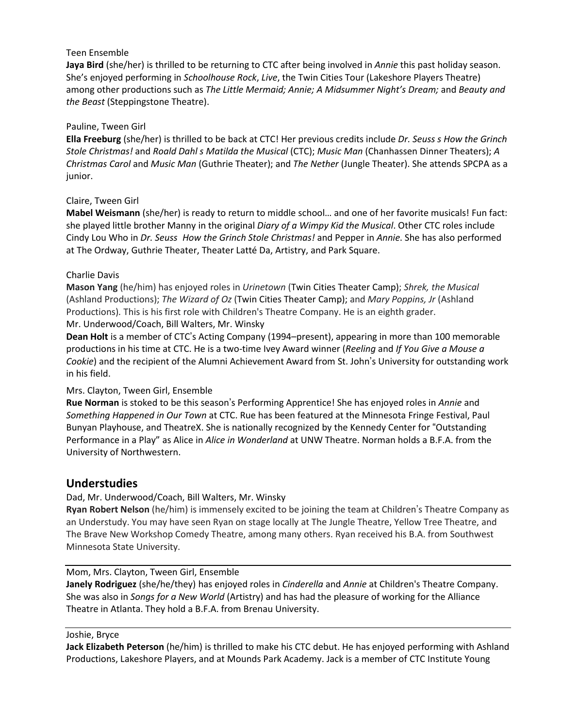### Teen Ensemble

**Jaya Bird** (she/her) is thrilled to be returning to CTC after being involved in *Annie* this past holiday season. She's enjoyed performing in *Schoolhouse Rock, Live*, the Twin Cities Tour (Lakeshore Players Theatre) 612.872.5110 among other productions such as *The Little Mermaid; Annie; A Midsummer Night's Dream;* and *Beauty and the Beast* (Steppingstone Theatre).

### Pauline, Tween Girl

**Ella Freeburg** (she/her) is thrilled to be back at CTC! Her previous credits include *Dr. Seuss s How the Grinch Stole Christmas!* and *Roald Dahl s Matilda the Musical* (CTC); *Music Man* (Chanhassen Dinner Theaters); *A Christmas Carol* and *Music Man* (Guthrie Theater); and *The Nether* (Jungle Theater). She attends SPCPA as a junior.

### Claire, Tween Girl

**Mabel Weismann** (she/her) is ready to return to middle school… and one of her favorite musicals! Fun fact: she played little brother Manny in the original *Diary of a Wimpy Kid the Musical*. Other CTC roles include Cindy Lou Who in *Dr. Seuss How the Grinch Stole Christmas!* and Pepper in *Annie*. She has also performed at The Ordway, Guthrie Theater, Theater Latté Da, Artistry, and Park Square.

### Charlie Davis

**Mason Yang** (he/him) has enjoyed roles in *Urinetown* (Twin Cities Theater Camp); *Shrek, the Musical* (Ashland Productions); *The Wizard of Oz* (Twin Cities Theater Camp); and *Mary Poppins, Jr* (Ashland Productions)*.* This is his first role with Children's Theatre Company. He is an eighth grader. Mr. Underwood/Coach, Bill Walters, Mr. Winsky

**Dean Holt** is a member of CTC's Acting Company (1994–present), appearing in more than 100 memorable productions in his time at CTC. He is a two-time Ivey Award winner (*Reeling* and *If You Give a Mouse a Cookie*) and the recipient of the Alumni Achievement Award from St. John's University for outstanding work in his field.

### Mrs. Clayton, Tween Girl, Ensemble

**Rue Norman** is stoked to be this season's Performing Apprentice! She has enjoyed roles in *Annie* and *Something Happened in Our Town* at CTC. Rue has been featured at the Minnesota Fringe Festival, Paul Bunyan Playhouse, and TheatreX. She is nationally recognized by the Kennedy Center for "Outstanding Performance in a Play" as Alice in *Alice in Wonderland* at UNW Theatre. Norman holds a B.F.A. from the University of Northwestern.

## **Understudies**

### Dad, Mr. Underwood/Coach, Bill Walters, Mr. Winsky

**Ryan Robert Nelson** (he/him) is immensely excited to be joining the team at Children's Theatre Company as an Understudy. You may have seen Ryan on stage locally at The Jungle Theatre, Yellow Tree Theatre, and The Brave New Workshop Comedy Theatre, among many others. Ryan received his B.A. from Southwest Minnesota State University.

### Mom, Mrs. Clayton, Tween Girl, Ensemble

**Janely Rodriguez** (she/he/they) has enjoyed roles in *Cinderella* and *Annie* at Children's Theatre Company. She was also in *Songs for a New World* (Artistry) and has had the pleasure of working for the Alliance Theatre in Atlanta. They hold a B.F.A. from Brenau University.

### Joshie, Bryce

**Jack Elizabeth Peterson** (he/him) is thrilled to make his CTC debut. He has enjoyed performing with Ashland Productions, Lakeshore Players, and at Mounds Park Academy. Jack is a member of CTC Institute Young